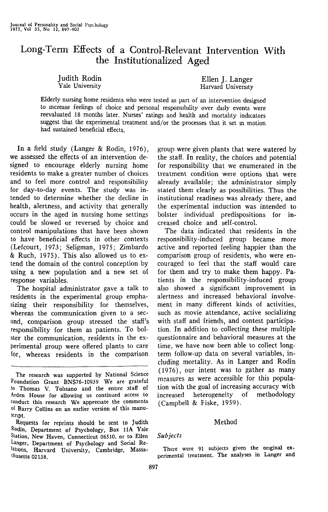# Long-Term Effects of a Control-Relevant Intervention With the Institutionalized Aged

Judith Rodin Yale University

Ellen J. Langer Harvard University

Elderly nursing home residents who were tested as part of an intervention designed to increase feelings of choice and personal responsibility over daily events were reevaluated 18 months later. Nurses' ratings and health and mortality indicators suggest that the experimental treatment and/or the processes that it set in motion had sustained beneficial effects.

In a field study (Langer & Rodin, 1976), we assessed the effects of an intervention designed to encourage elderly nursing home residents to make a greater number of choices and to feel more control and responsibility for day-to-day events. The study was intended to determine whether the decline in health, alertness, and activity that generally occurs in the aged in nursing home settings could be slowed or reversed by choice and control manipulations that have been shown to have beneficial effects in other contexts (Lefcourt, 1973; Seligman, 1975; Zimbardo & Ruch, 1975). This also allowed us to extend the domain of the control conception by using a new population and a new set of response variables.

The hospital administrator gave a talk to residents in the experimental group emphasizing their responsibility for themselves, whereas the communication given to a second, comparison group stressed the staff's responsibility for them as patients. To bolster the communication, residents in the experimental group were offered plants to care for, whereas residents in the comparison

Requests for reprints should be sent to Judith Rodin, Department of Psychology, Box 11A Yale Station, New Haven, Connecticut 06510, or to Ellen Langer, Department of Psychology and Social Relations, Harvard University, Cambridge, Massachusetts 02138.

group were given plants that were watered by the staff. In reality, the choices and potential for responsibility that we enumerated in the treatment condition were options that were already available; the administrator simply stated them clearly as possibilities. Thus the institutional readiness was already there, and the experimental induction was intended to bolster individual predispositions for increased choice and self-control.

The data indicated that residents in the responsibility-induced group became more active and reported feeling happier than the comparison group of residents, who were encouraged to feel that the staff would care for them and try to make them happy. Patients in the responsibility-induced group also showed a significant improvement in alertness and increased behavioral involvement in many different kinds of activities, such as movie attendance, active socializing with staff and friends, and contest participation. In addition to collecting these multiple questionnaire and behavioral measures at the time, we have now been able to collect longterm follow-up data on several variables, including mortality. As in Langer and Rodin (1976), our intent was to gather as many measures as were accessible for this population with the goal of increasing accuracy with increased heterogeneity of methodology (Campbell & Fiske, 1959).

# Method

### *Subjects*

There were 91 subjects given the original experimental treatment. The analyses in Langer and

The research was supported by National Science Foundation Grant BNS76-10939 We are grateful to Thomas V. Tohsano and the entire staff of Arden House for allowing us continued access to conduct this research We appreciate the comments of Barry Collins on an earlier version of this manuscript.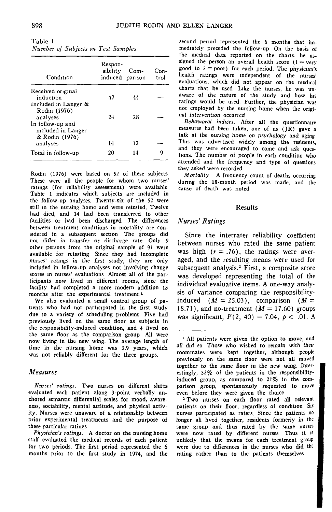| Condition                                                | Respon-<br>sibility<br>induced parison | $Com-$ | Con-<br>trol |
|----------------------------------------------------------|----------------------------------------|--------|--------------|
| Received original<br>induction                           | 47                                     | 44     |              |
| Included in Langer &<br>Rodin (1976)<br>analyses         | 24                                     | 28     |              |
| In follow-up and<br>included in Langer<br>& Rodin (1976) |                                        |        |              |
| analyses                                                 | 14                                     | 12     |              |
| Total in follow-up                                       | 20                                     | 14     | 9            |

Table 1 *Number of Subjects in Test Samples*

Rodin (1976) were based on 52 of these subjects These were all the people for whom two nurses' ratings (for reliability assessment) were available Table 1 indicates which subjects are included in the follow-up analyses. Twenty-six of the 52 were still in the nursing home and were retested. Twelve had died, and 14 had been transferred to other facilities or had been discharged The differences between treatment conditions in mortality are considered in a subsequent section The groups did not differ in transfer or discharge rate Only 9 other persons from the original sample of 91 were available for retesting Since they had incomplete nurses' ratings in the first study, they are only included in follow-up analyses not involving change scores in nurses' evaluations Almost all of the participants now lived in different rooms, since the facility had completed a more modern addition 13 months after the experimental treatment.<sup>1</sup>

We also evaluated a small control group of patients who had not participated in the first study due to a variety of scheduling problems Five had previously lived on the same floor as subjects in the responsibility-induced condition, and 4 lived on the same floor as the comparison group All were now living in the new wing. The average length of time in the nursing home was 3.9 years, which was not reliably different for the three groups.

#### *Measures*

*Nurses' ratings.* Two nurses on different shifts evaluated each patient along 9-point verbally anchored semantic differential scales for mood, awareness, sociability, mental attitude, and physical activity. Nurses were unaware of a relationship between prior experimental treatments and the purpose of these particular ratings

*Physician's ratings.* A doctor on the nursing home staff evaluated the medical records of each patient for two periods. The first period represented the 6 months prior to the first study in 1974, and the

second period represented the 6 months that immediately preceded the follow-up On the basis of the medical data reported on the charts, he assigned the person an overall health score  $(1 = \text{very})$ good to  $5 = poor$ ) for each period. The physician's health ratings were independent of the nurses' evaluations, which did not appear on the medical charts that he used Like the nurses, he was unaware of the nature of the study and how his ratings would be used. Further, the physician was not employed by the nursing home when the original intervention occurred

*Behavioral indices.* After all the questionnaire measures had been taken, one of us (JR) gave a talk at the nursing home on psychology and aging This was advertised widely among the residents, and they were encouraged to come and ask questions. The number of people in each condition who attended and the frequency and type of questions they asked were recorded

*Mortality* A frequency count of deaths occurring during the 18-month period was made, and the cause of death was noted

#### Results

# *Nurses' Ratings*

Since the interrater reliability coefficient between nurses who rated the same patient was high  $(r = .76)$ , the ratings were averaged, and the resulting means were used for subsequent analysis.<sup>2</sup> First, a composite score was developed representing the total of the individual evaluative items. A one-way analysis of variance comparing the responsibilityinduced  $(M = 25.03)$ , comparison  $(M =$ 18.71), and no-treatment ( $M = 17.60$ ) groups was significant,  $F(2, 40) = 7.04$ ,  $p < .01$ . A

2 Two nurses on each floor rated all relevant patients on their floor, regardless of condition Six nurses participated as raters. Since the patients no longer all hved together, residents formerly in the same group and thus rated by the same nurses were now rated by different nurses Thus it is unlikely that the means for each treatment group were due to differences in the nurses who did the rating rather than to the patients themselves

<sup>1</sup> All patients were given the option to move, and all did so Those who wished to remain with their roommates were kept together, although people previously on the same floor were not all moved together to the same floor in the new wing. Interestingly, 33% of the patients in the responsibilityinduced group, as compared to 21% in the comparison group, spontaneously requested to move even before they were given the choice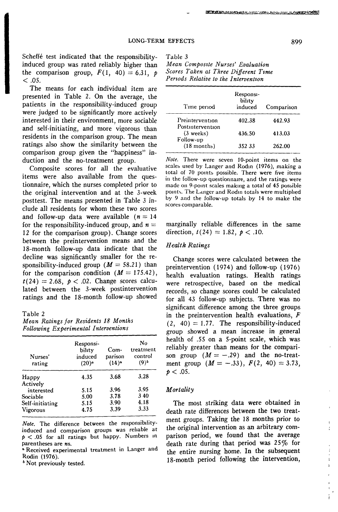Scheffé test indicated that the responsibilityinduced group was rated reliably higher than the comparison group,  $F(1, 40) = 6.31$ , p  $< 0.05$ .

The means for each individual item are presented in Table 2. On the average, the patients in the responsibility-induced group were judged to be significantly more actively interested in their environment, more sociable and self-initiating, and more vigorous than residents in the comparison group. The mean ratings also show the similarity between the comparison group given the "happiness" induction and the no-treatment group.

Composite scores for all the evaluative items were also available from the questionnaire, which the nurses completed prior to the original intervention and at the 3-week posttest. The means presented in Table 3 include all residents for whom these two scores and follow-up data were available  $(n = 14)$ for the responsibility-induced group, and  $n =$ 12 for the comparison group). Change scores between the preintervention means and the 18-month follow-up data indicate that the decline was significantly smaller for the responsibility-induced group  $(M = 58.21)$  than for the comparison condition  $(M = 175.42)$ ,  $t(24) = 2.68, p < .02$ . Change scores calculated between the 3-week postintervention ratings and the 18-month follow-up showed

Table 2

|  |  |  | Mean Ratings for Residents 18 Months |
|--|--|--|--------------------------------------|
|  |  |  | Following Experimental Interventions |

| Nurses'<br>rating | Responsi-<br>bility<br>induced<br>$(20)^a$ | Com-<br>parison<br>$(14)$ <sup>o</sup> | No<br>treatment<br>control<br>$(9)^b$ |
|-------------------|--------------------------------------------|----------------------------------------|---------------------------------------|
| Happy<br>Actively | 4.35                                       | 3.68                                   | 3.28                                  |
| interested        | 5.15                                       | 3.96                                   | 3.95                                  |
| Sociable          | 5.00                                       | 3.78                                   | 340                                   |
| Self-initiating   | 5.15                                       | 3.90                                   | 4.18                                  |
| Vigorous          | 4.75                                       | 3.39                                   | 3.33                                  |

*Note.* The difference between the responsibilityinduced and comparison groups was reliable at *p <* .05 for all ratings but happy. Numbers in parentheses are ns.

6 Not previously tested.

Table 3

*Mean Composite Nurses' Evaluation Scores Taken at Three Different Time Periods Relative to the Intervention*

| Time period                         | Responsi-<br>bility<br>induced | Comparison |
|-------------------------------------|--------------------------------|------------|
| Preintervention<br>Postintervention | 402.38                         | 442.93     |
| $(3$ weeks)<br>Follow-up            | 436.50                         | 413.03     |
| $(18$ months)                       | 352 33                         | 262.00     |

*Note.* There were seven 10-point items on the scales used by Langer and Rodin (1976), making a total of 70 points possible. There were five items in the follow-up questionnaire, and the ratings were made on 9-point scales making a total of 45 possible points. The Langer and Rodin totals were multiplied by 9 and the follow-up totals by 14 to make the scores comparable.

marginally reliable differences in the same direction,  $t(24) = 1.82$ ,  $p < .10$ .

#### *Health Ratings*

Change scores were calculated between the preintervention (1974) and follow-up (1976) health evaluation ratings. Health ratings were retrospective, based on the medical records, so change scores could be calculated for all 43 follow-up subjects. There was no significant difference among the three groups in the preintervention health evaluations, *F*  $(2, 40) = 1.77$ . The responsibility-induced group showed a mean increase in general health of .55 on a 5-point scale, which was reliably greater than means for the comparison group  $(M = -.29)$  and the no-treatment group  $(M = -.33)$ ,  $F(2, 40) = 3.73$ ,  $p < .05$ .

#### *Mortality*

The most striking data were obtained in death rate differences between the two treatment groups. Taking the 18 months prior to the original intervention as an arbitrary comparison period, we found that the average death rate during that period was 25% for the entire nursing home. In the subsequent 18-month period following the intervention,

ŧ

 $\begin{array}{c} 1 \\ 1 \\ 4 \end{array}$ 

a Received experimental treatment in Langer and Rodin (1976).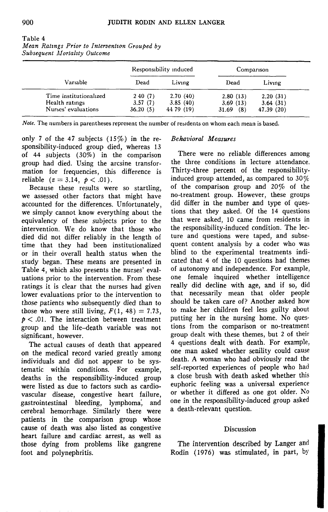| Variable               | Responsibility induced |            | Comparison   |            |
|------------------------|------------------------|------------|--------------|------------|
|                        | Dead                   | Living     | Dead         | Living     |
| Time institutionalized | 240(7)                 | 2.70(40)   | 2.80(13)     | 2.20(31)   |
| Health ratings         | 3.57(7)                | 3.85(40)   | 3.69(13)     | 3.64(31)   |
| Nurses' evaluations    | 36.20(5)               | 44 79 (19) | 31.69<br>(8) | 47.39 (20) |

Table 4 *Mean Ratings Prior to Intervention Grouped by Subsequent Mortality Outcome*

*Note.* The numbers in parentheses represent the number of residents on whom each mean is based.

only 7 of the 47 subjects  $(15\%)$  in the responsibility-induced group died, whereas 13 of 44 subjects (30%) in the comparison group had died. Using the arcsine transformation for frequencies, this difference is reliable  $(z = 3.14, p < .01)$ .

Because these results were so startling, we assessed other factors that might have accounted for the differences. Unfortunately, we simply cannot know everything about the equivalency of these subjects prior to the intervention. We do know that those who died did not differ reliably in the length of time that they had been institutionalized or in their overall health status when the study began. These means are presented in Table 4, which also presents the nurses' evaluations prior to the intervention. From these ratings it is clear that the nurses had given lower evaluations prior to the intervention to those patients who subsequently died than to those who were still living,  $F(1, 48) = 7.73$ ,  $p < .01$ . The interaction between treatment group and the life-death variable was not significant, however.

The actual causes of death that appeared on the medical record varied greatly among individuals and did not appear to be systematic within conditions. For example, deaths in the responsibility-induced group were listed as due to factors such as cardiovascular disease, congestive heart failure, gastrointestinal bleeding, lymphoma', and cerebral hemorrhage. Similarly there were patients in the comparison group whose cause of death was also listed as congestive heart failure and cardiac arrest, as well as those dying from problems like gangrene foot and polynephritis.

# *Behavioral Measures*

There were no reliable differences among the three conditions in lecture attendance. Thirty-three percent of the responsibilityinduced group attended, as compared to 30% of the comparison group and 20% of the no-treatment group. However, these groups did differ in the number and type of questions that they asked. Of the 14 questions that were asked, 10 came from residents in the responsibility-induced condition. The lecture and questions were taped, and subsequent content analysis by a coder who was blind to the experimental treatments indicated that 4 of the 10 questions had themes of autonomy and independence. For example, one female inquired whether intelligence really did decline with age, and if so, did that necessarily mean that older people should be taken care of? Another asked how to make her children feel less guilty about putting her in the nursing home. No questions from the comparison or no-treatment group dealt with these themes, but 2 of their 4 questions dealt with death. For example, one man asked whether senility could cause death. A woman who had obviously read the self-reported experiences of people who had a close brush with death asked whether this euphoric feeling was a universal experience or whether it differed as one got older. No one in the responsibility-induced group asked a death-relevant question.

#### **Discussion**

The intervention described by Langer and Rodin (1976) was stimulated, in part, by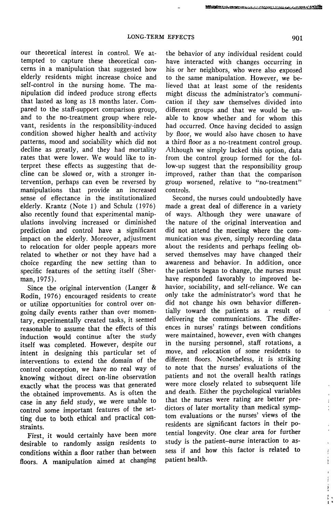our theoretical interest in control. We attempted to capture these theoretical concerns in a manipulation that suggested how elderly residents might increase choice and self-control in the nursing home. The manipulation did indeed produce strong effects that lasted as long as 18 months later. Compared to the staff-support comparison group, and to the no-treatment group where relevant, residents in the responsibility-induced condition showed higher health and activity patterns, mood and sociability which did not decline as greatly, and they had mortality rates that were lower. We would like to interpret these effects as suggesting that decline can be slowed or, with a stronger intervention, perhaps can even be reversed by manipulations that provide an increased sense of effectance in the institutionalized elderly. Krantz (Note 1) and Schulz (1976) also recently found that experimental manipulations involving increased or diminished prediction and control have a significant impact on the elderly. Moreover, adjustment to relocation for older people appears more related to whether or not they have had a choice regarding the new setting than to specific features of the setting itself (Sherman, 197S).

Since the original intervention (Langer & Rodin, 1976) encouraged residents to create or utilize opportunities for control over ongoing daily events rather than over momentary, experimentally created tasks, it seemed reasonable to assume that the effects of this induction would continue after the study itself was completed. However, despite our intent in designing this particular set of interventions to extend the domain of the control conception, we have no real way of knowing without direct on-line observation exactly what the process was that generated the obtained improvements. As is often the case in any field study, we were unable to control some important features of the setting due to both ethical and practical constraints.

First, it would certainly have been more desirable to randomly assign residents to conditions within a floor rather than between floors. A manipulation aimed at changing

the behavior of any individual resident could have interacted with changes occurring in his or her neighbors, who were also exposed to the same manipulation. However, we believed that at least some of the residents might discuss the administrator's communication if they saw themselves divided into different groups and that we would be unable to know whether and for whom this had occurred. Once having decided to assign by floor, we would also have chosen to have a third floor as a no-treatment control group. Although we simply lacked this option, data from the control group formed for the follow-up suggest that the responsibility group improved, rather than that the comparison group worsened, relative to "no-treatment" controls.

Second, the nurses could undoubtedly have made a great deal of difference in a variety of ways. Although they were unaware of the nature of the original intervention and did not attend the meeting where the communication was given, simply recording data about the residents and perhaps feeling observed themselves may have changed their awareness and behavior. In addition, once the patients began to change, the nurses must have responded favorably to improved behavior, sociability, and self-reliance. We can only take the administrator's word that he did not change his own behavior differentially toward the patients as a result of delivering the communications. The differences in nurses' ratings between conditions were maintained, however, even with changes in the nursing personnel, staff rotations, a move, and relocation of some residents to different floors. Nonetheless, it is striking to note that the nurses' evaluations of the patients and not the overall health ratings were more closely related to subsequent life and death. Either the psychological variables that the nurses were rating are better predictors of later mortality than medical symptom evaluations or the nurses' views of the residents are significant factors in their potential longevity. One clear area for further study is the patient-nurse interaction to assess if and how this factor is related to patient health.

Ť.

 $\bar{t}$ 

 $\mathbf{i}$ Ì

į